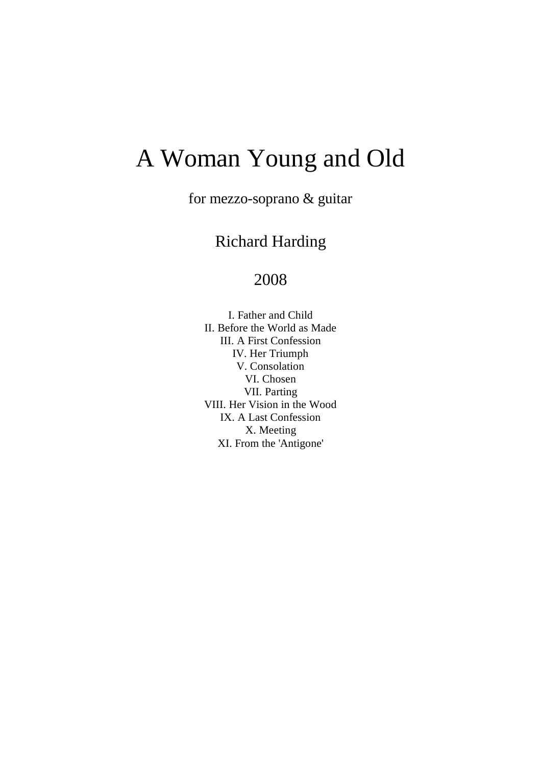# A Woman Young and Old

for mezzo-soprano & guitar

### Richard Harding

### 2008

I. Father and Child II. Before the World as Made III. A First Confession IV. Her Triumph V. Consolation VI. Chosen VII. Parting VIII. Her Vision in the Wood IX. A Last Confession X. Meeting XI. From the 'Antigone'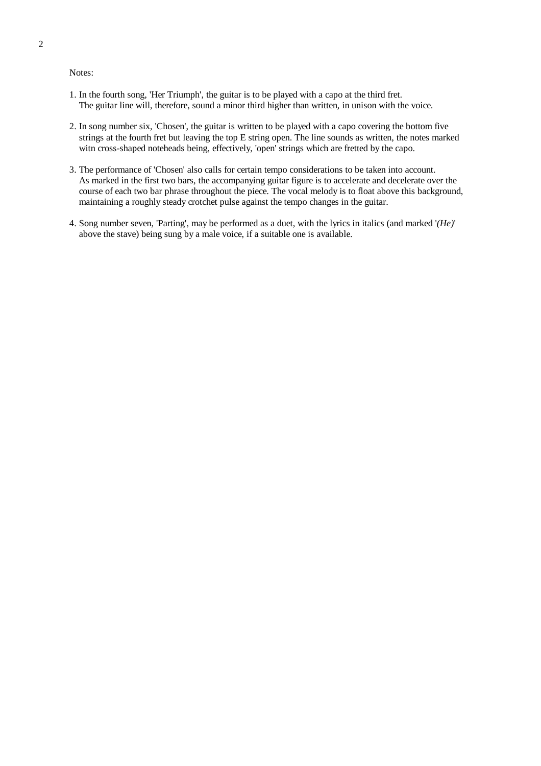Notes:

- 1. In the fourth song, 'Her Triumph', the guitar is to be played with a capo at the third fret. The guitar line will, therefore, sound a minor third higher than written, in unison with the voice.
- 2. In song number six, 'Chosen', the guitar is written to be played with a capo covering the bottom five strings at the fourth fret but leaving the top E string open. The line sounds as written, the notes marked witn cross-shaped noteheads being, effectively, 'open' strings which are fretted by the capo.
- 3. The performance of 'Chosen' also calls for certain tempo considerations to be taken into account. As marked in the first two bars, the accompanying guitar figure is to accelerate and decelerate over the course of each two bar phrase throughout the piece. The vocal melody is to float above this background, maintaining a roughly steady crotchet pulse against the tempo changes in the guitar.
- 4. Song number seven, 'Parting', may be performed as a duet, with the lyrics in italics (and marked '*(He)*' above the stave) being sung by a male voice, if a suitable one is available.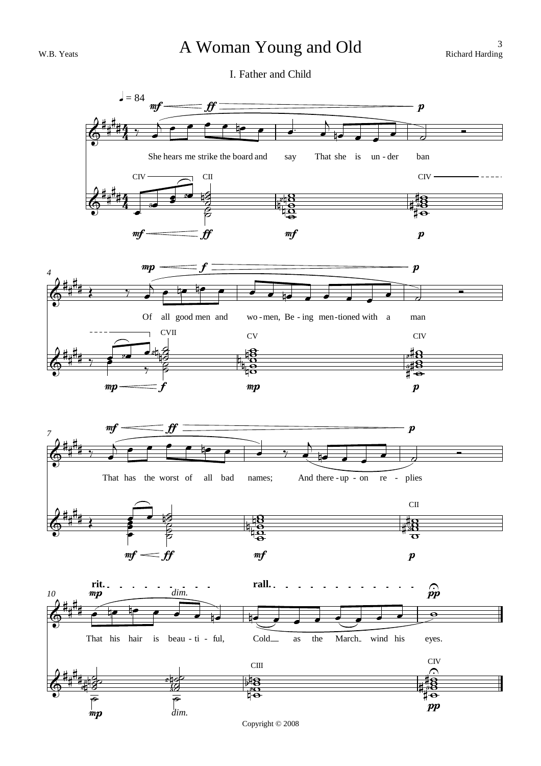## A Woman Young and Old

I. Father and Child

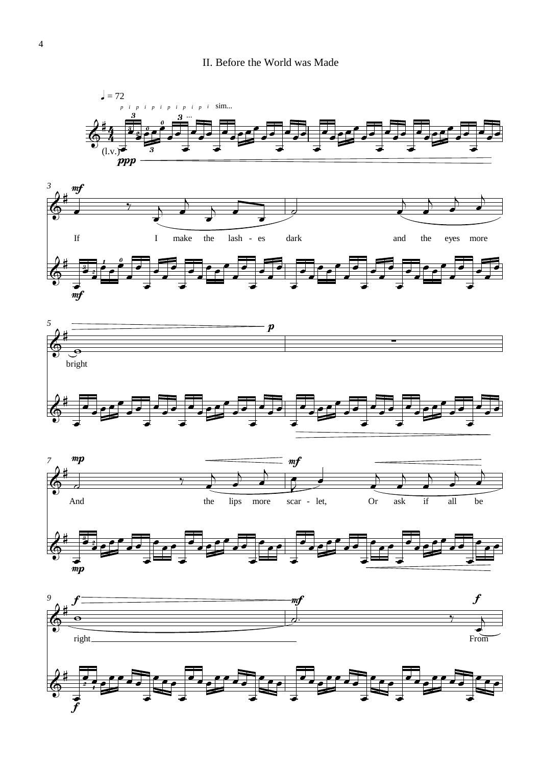#### II. Before the World was Made

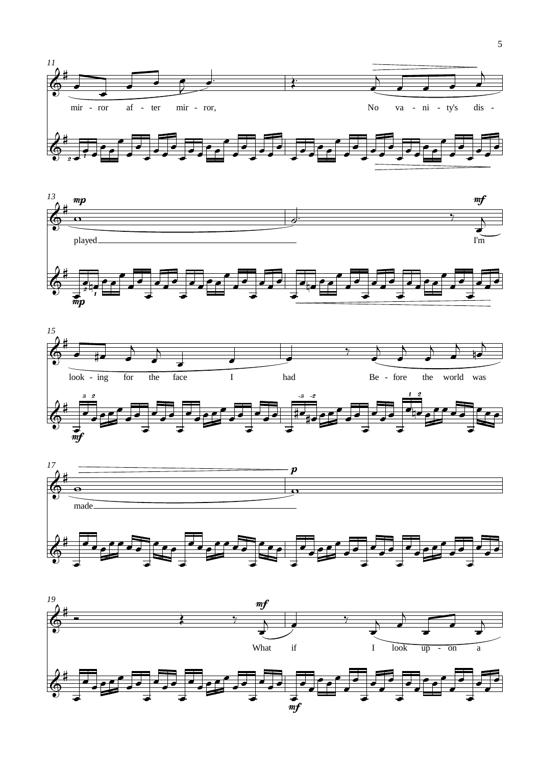







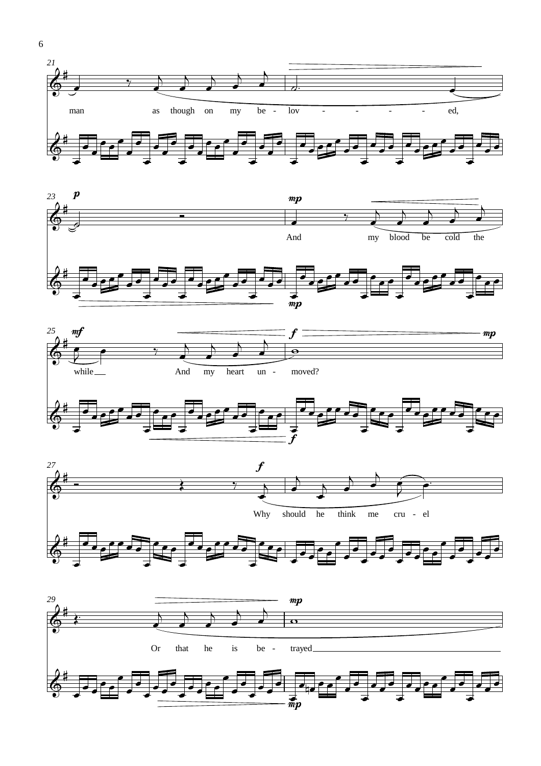







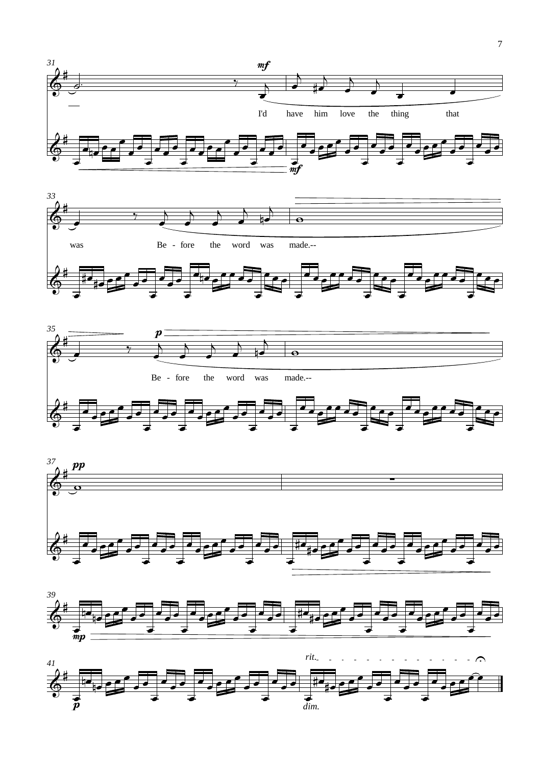









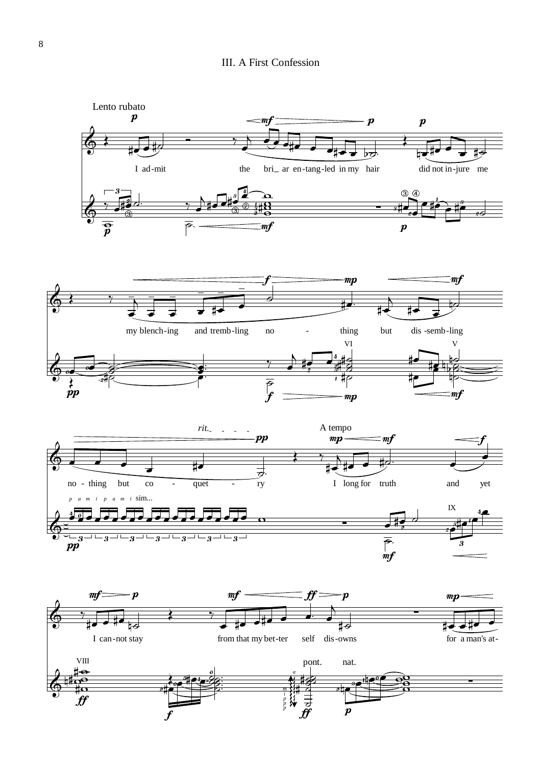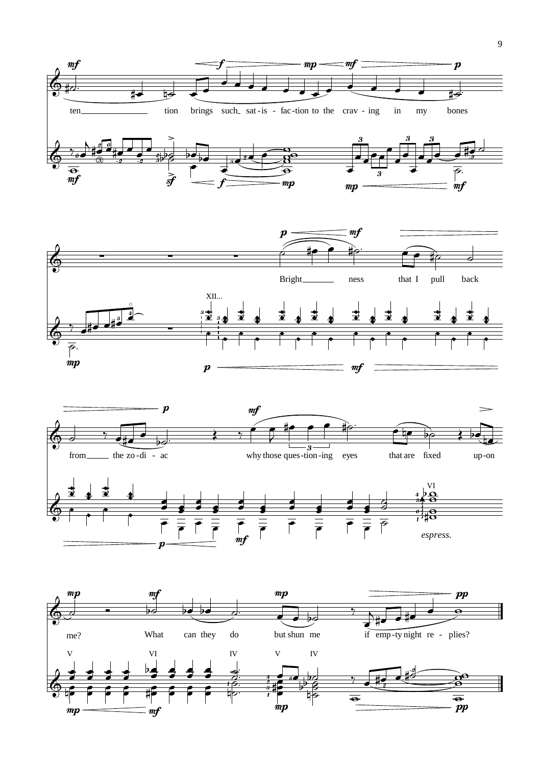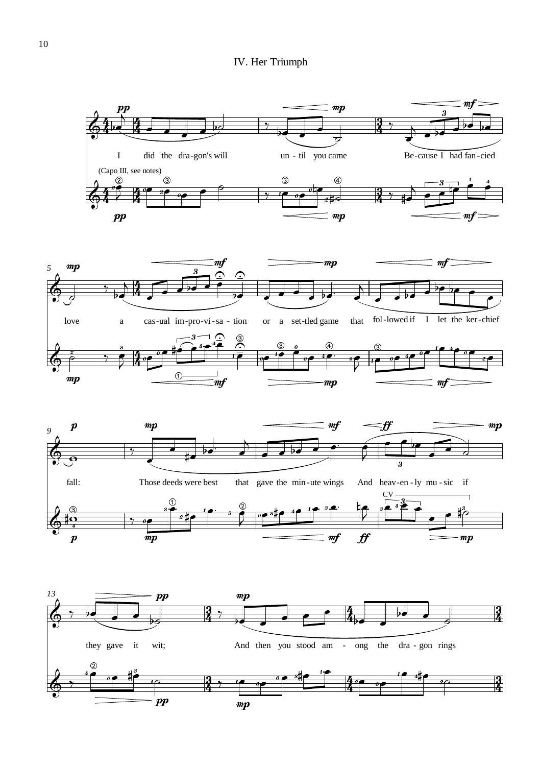#### IV. Her Triumph

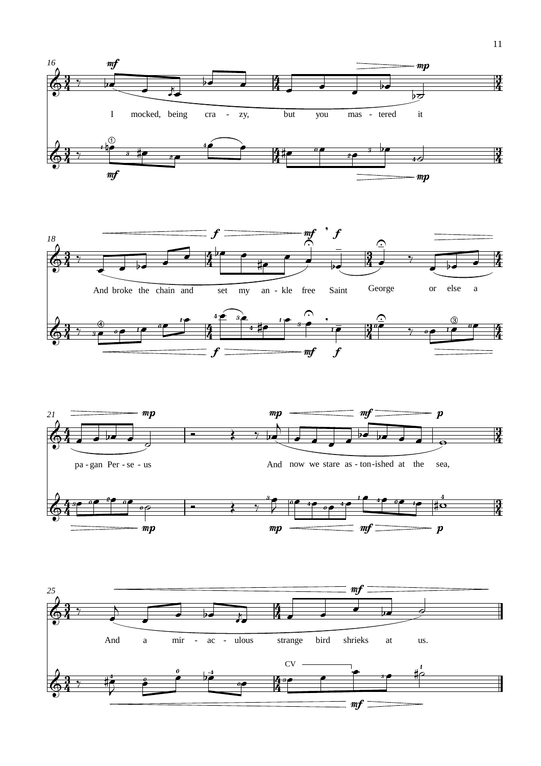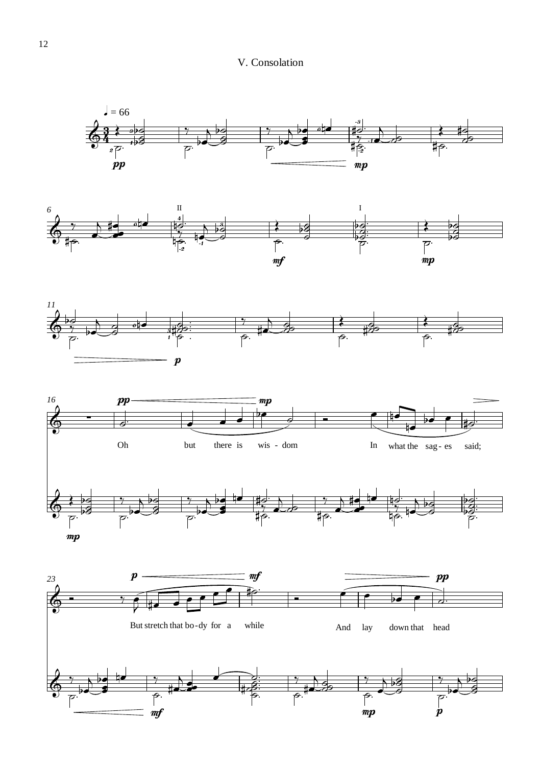#### V. Consolation

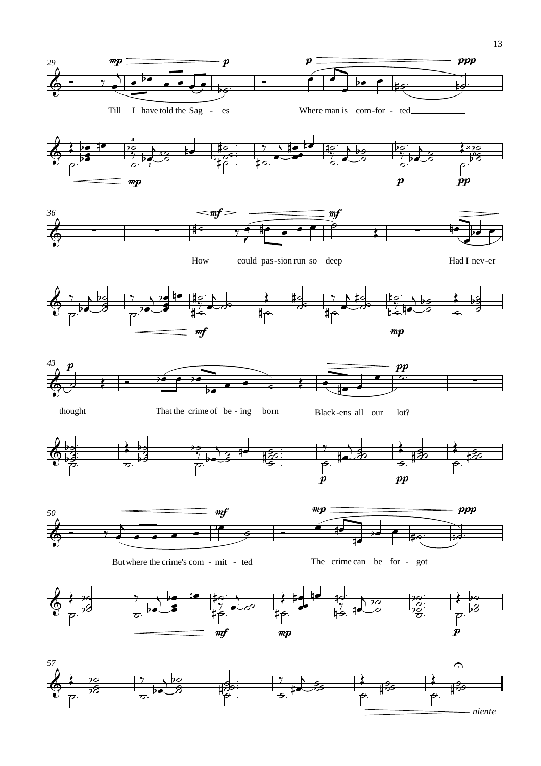

- niente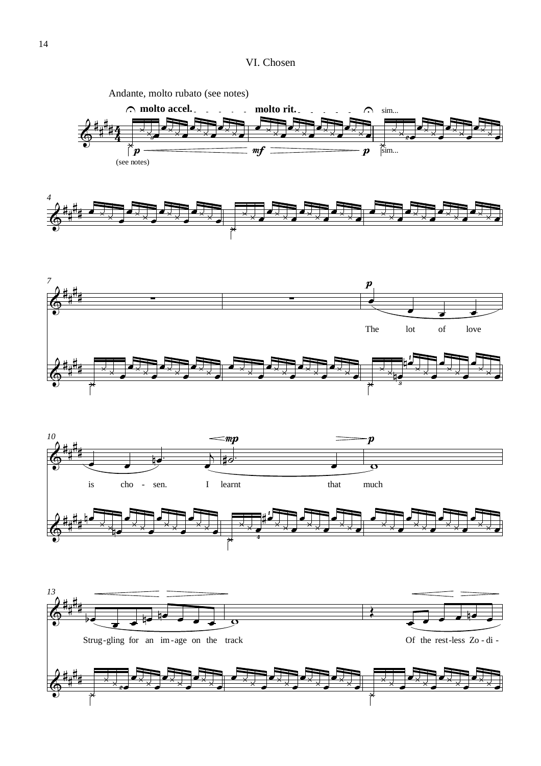#### VI. Chosen

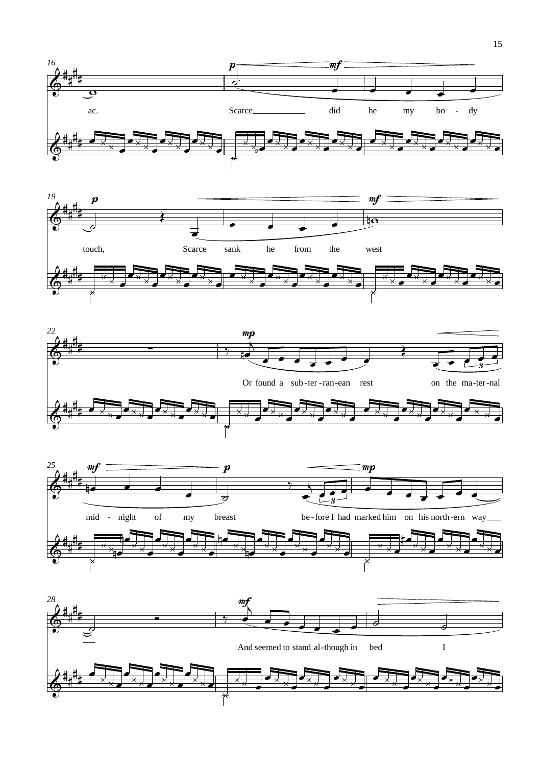







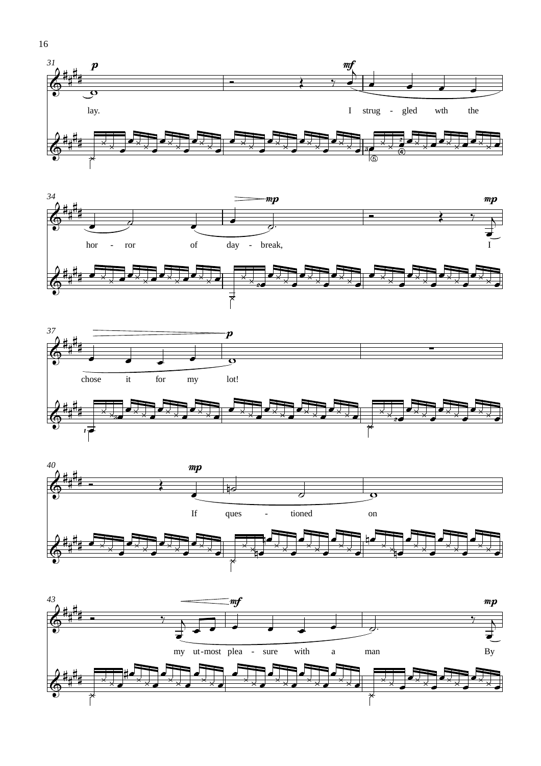







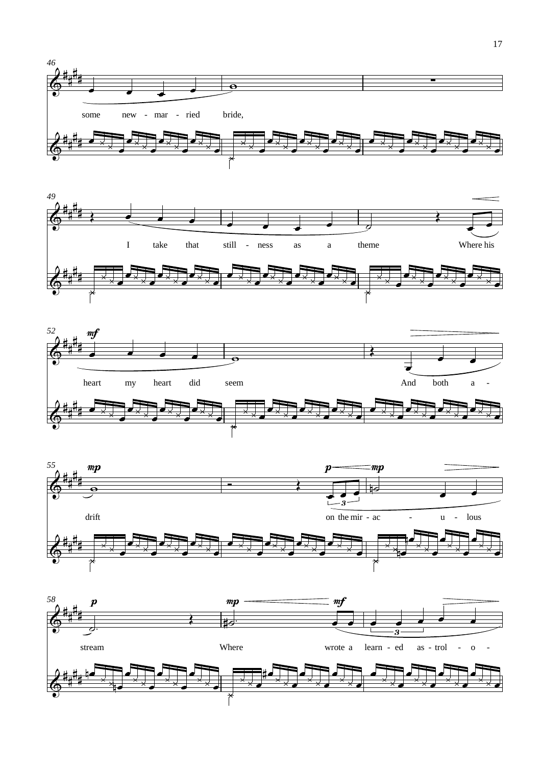







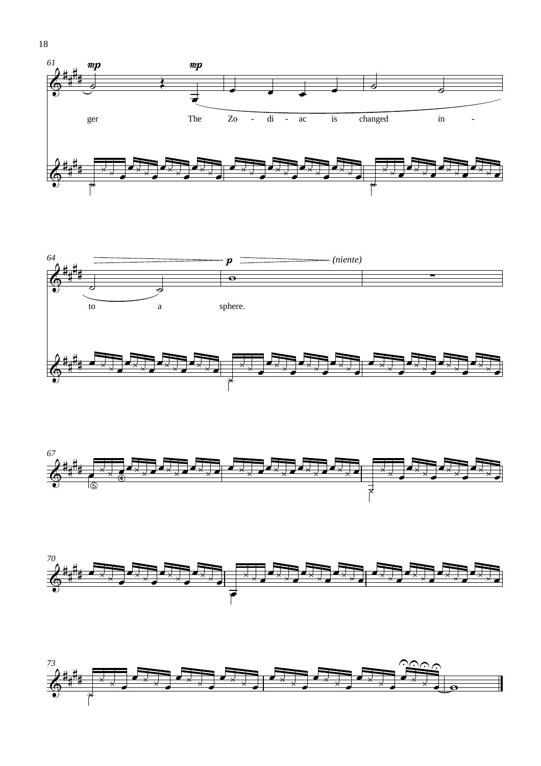







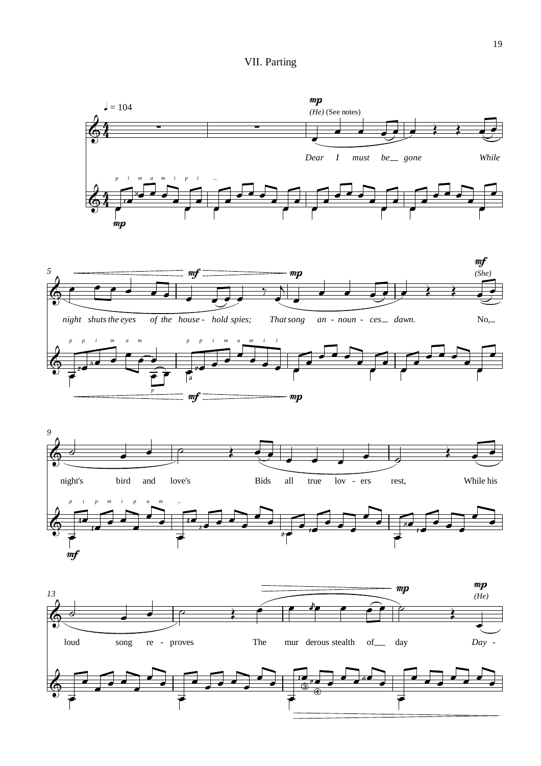

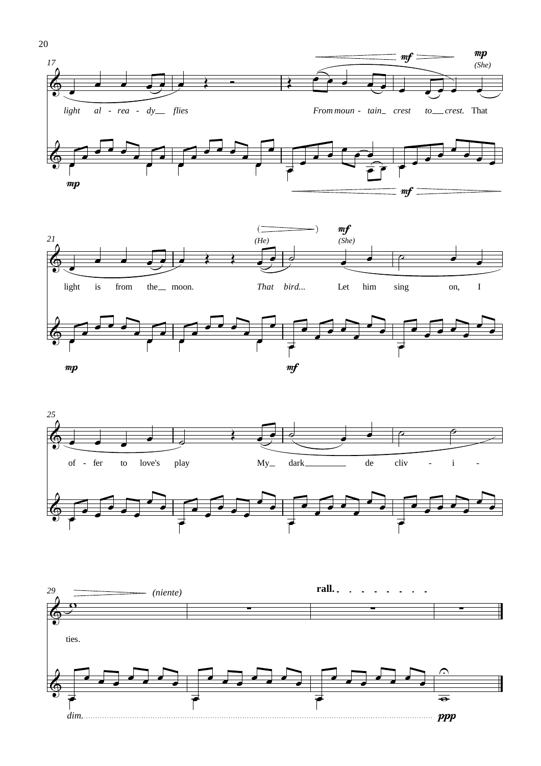



 $m f$ 





20

 $\boldsymbol{m}$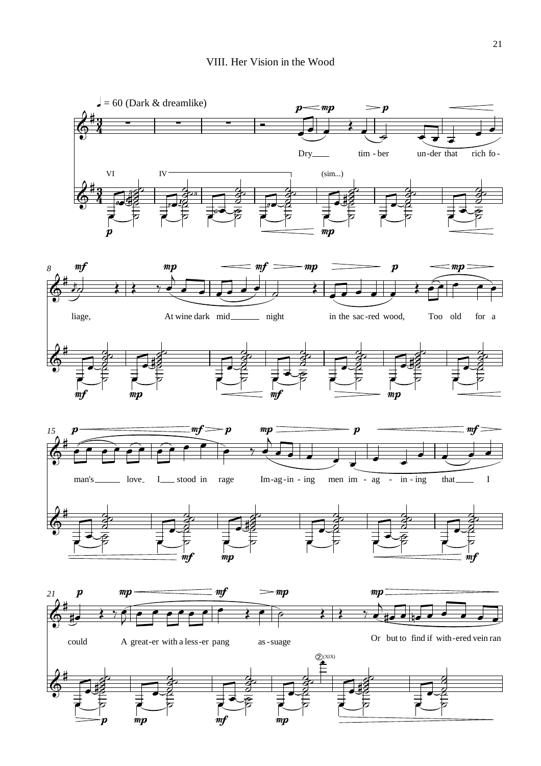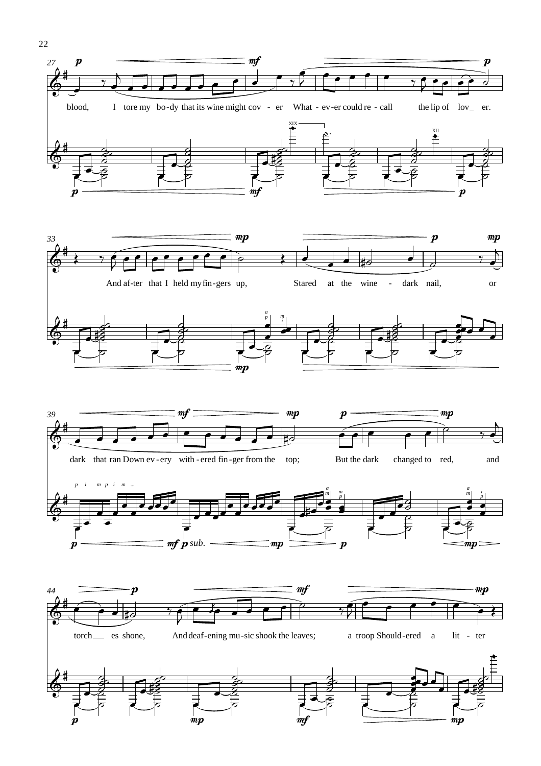





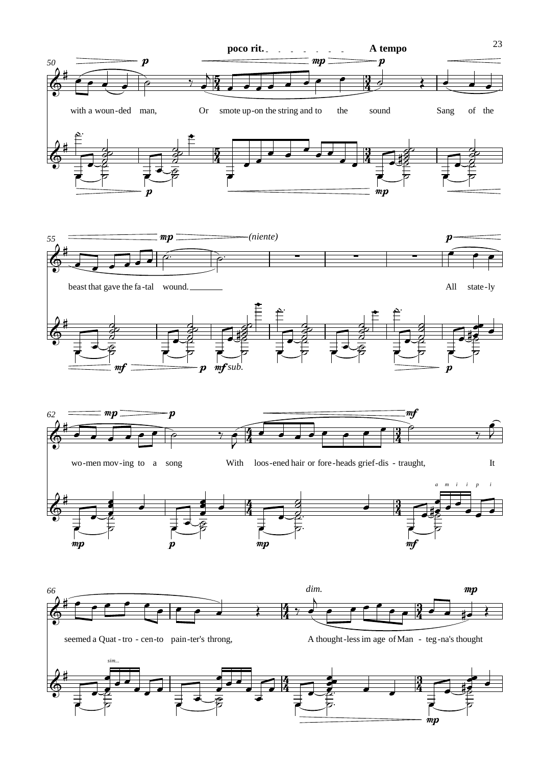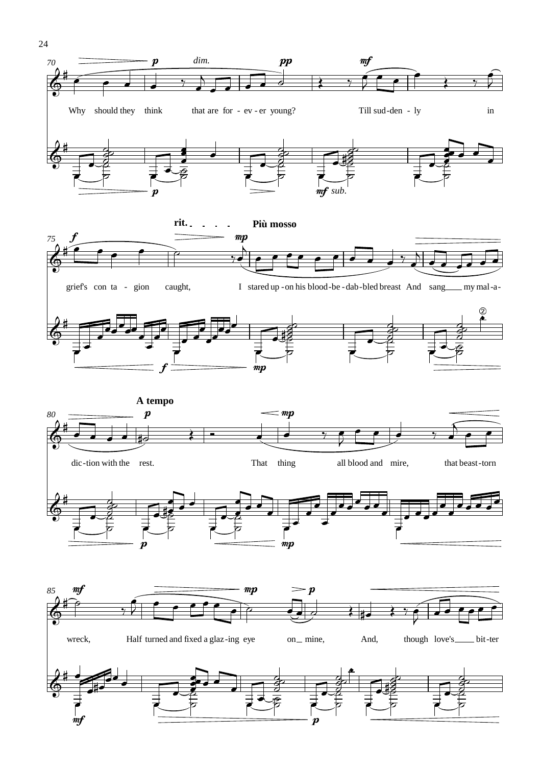

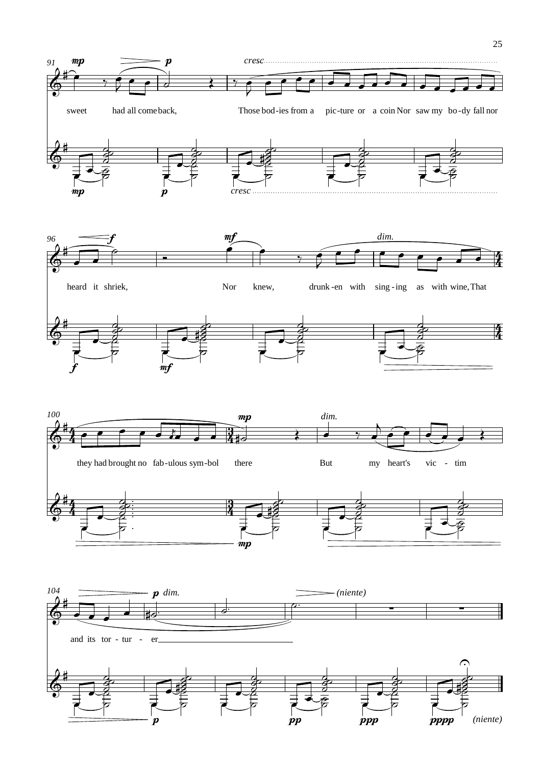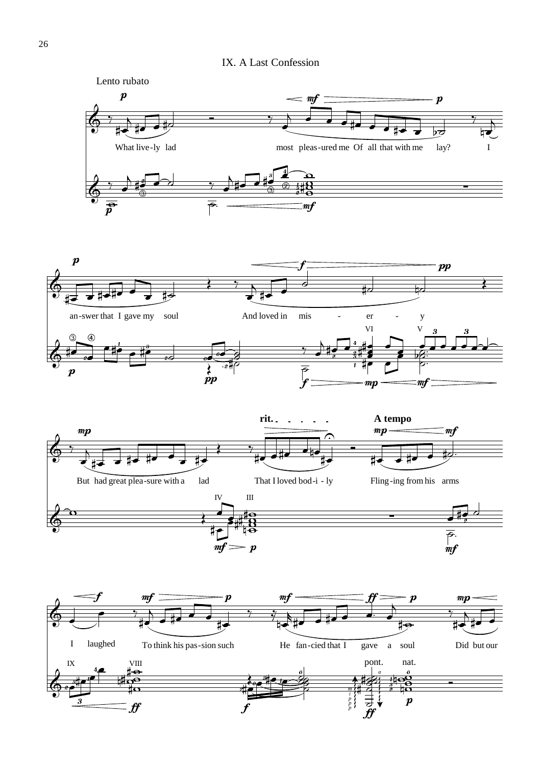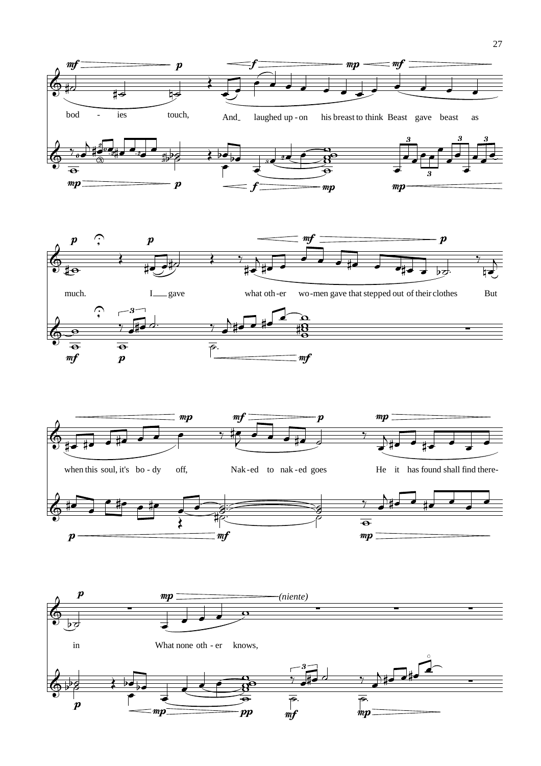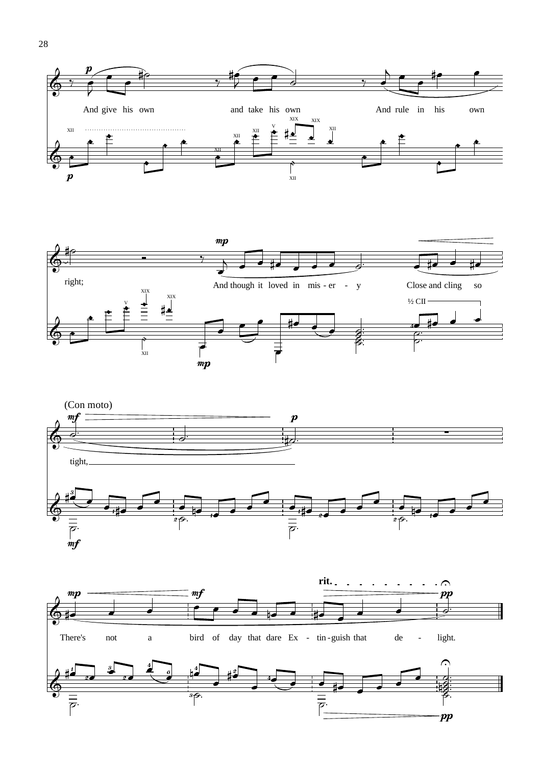





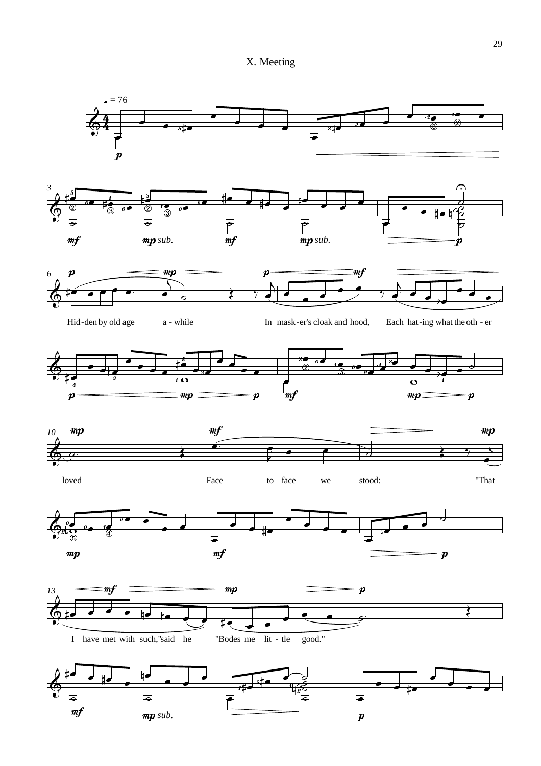#### X. Meeting

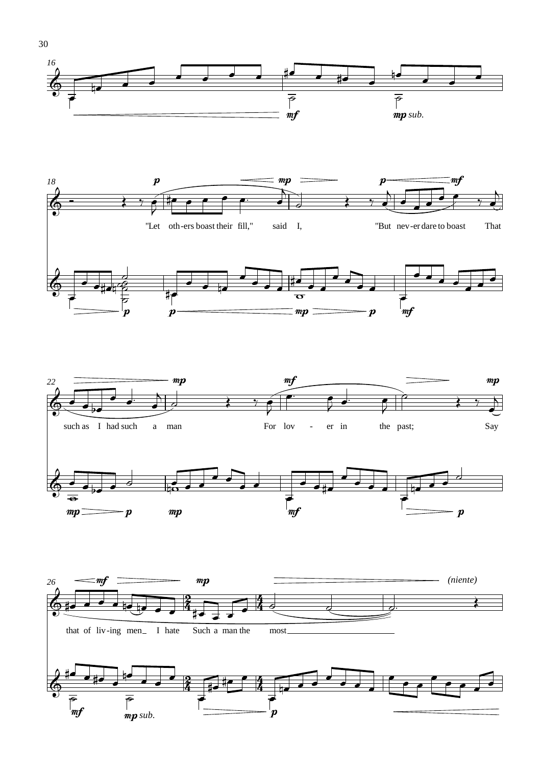





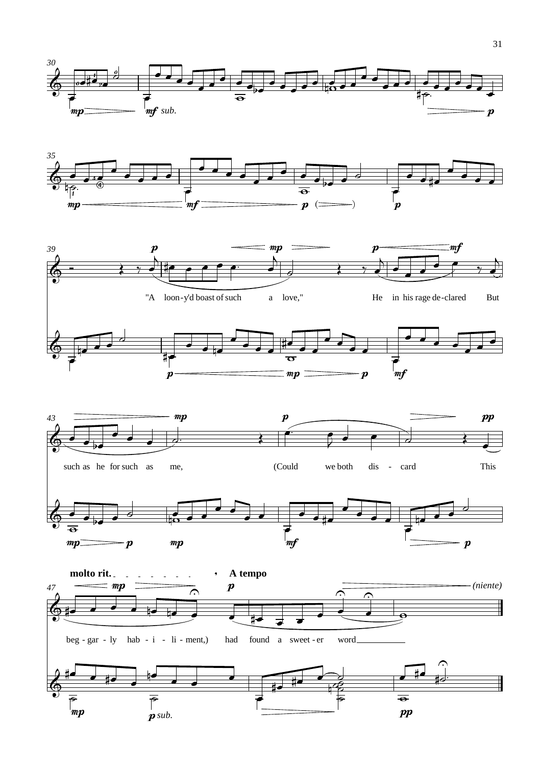









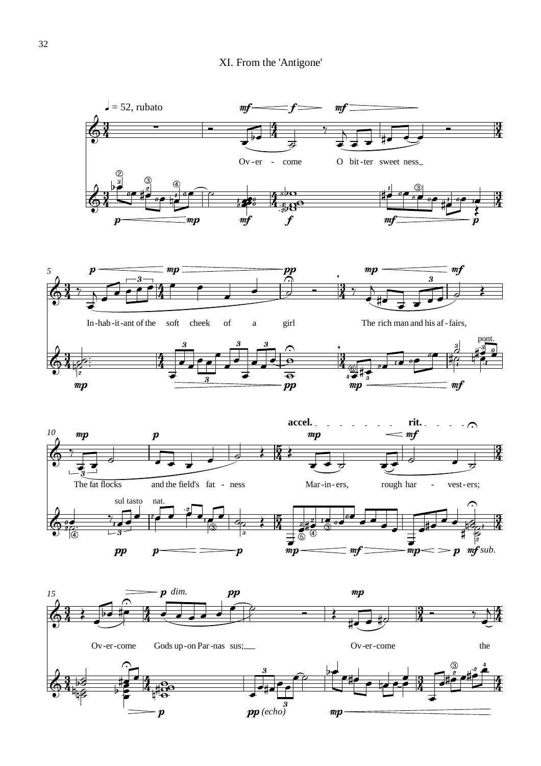#### XI. From the 'Antigone'

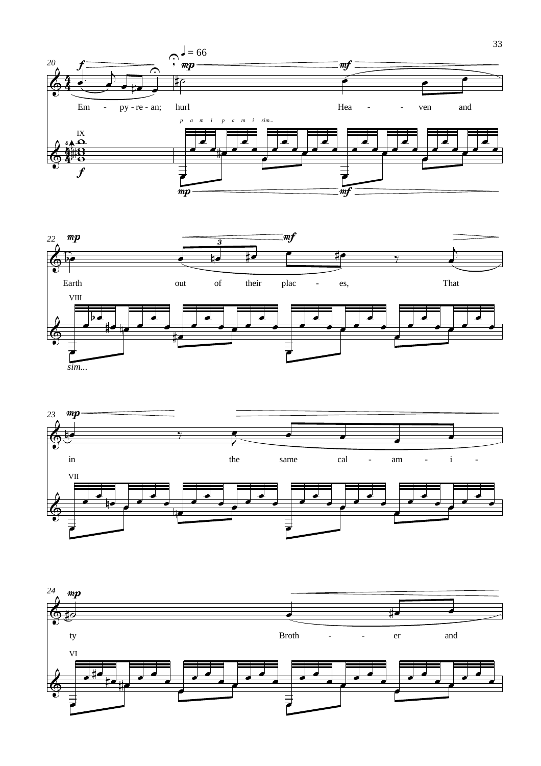





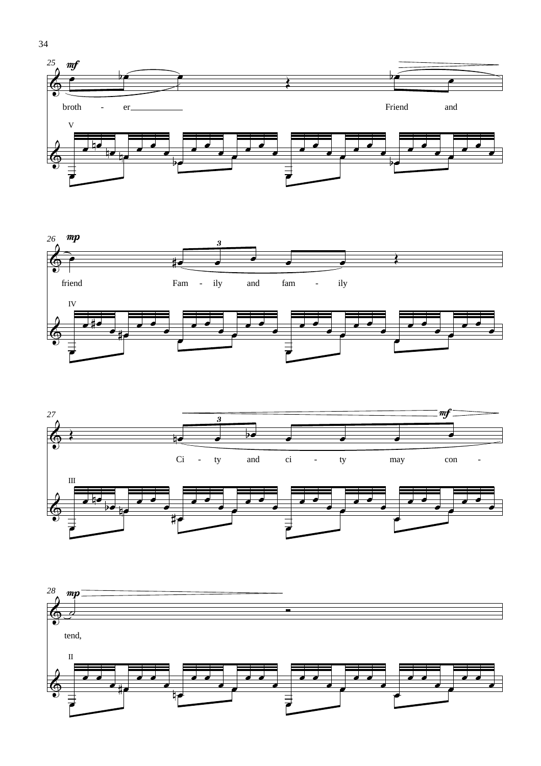